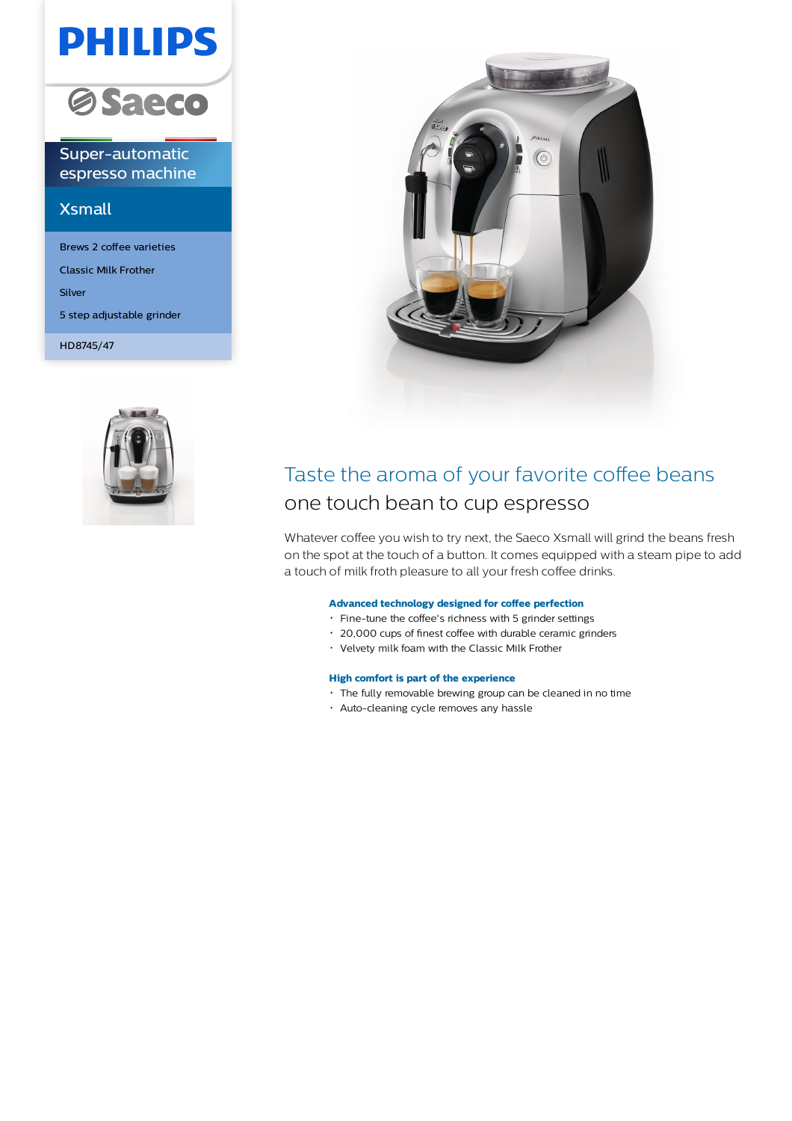# **PHILIPS**



Super-automatic espresso machine

# Xsmall

Brews 2 coffee varieties Classic Milk Frother Silver 5 step adjustable grinder

HD8745/47





# Taste the aroma of your favorite coffee beans one touch bean to cup espresso

Whatever coffee you wish to try next, the Saeco Xsmall will grind the beans fresh on the spot at the touch of a button. It comes equipped with a steam pipe to add a touch of milk froth pleasure to all your fresh coffee drinks.

### **Advanced technology designed for coffee perfection**

- Fine-tune the coffee's richness with 5 grinder settings
- 20,000 cups of finest coffee with durable ceramic grinders
- Velvety milk foam with the Classic Milk Frother

### **High comfort is part of the experience**

- The fully removable brewing group can be cleaned in no time
- Auto-cleaning cycle removes any hassle